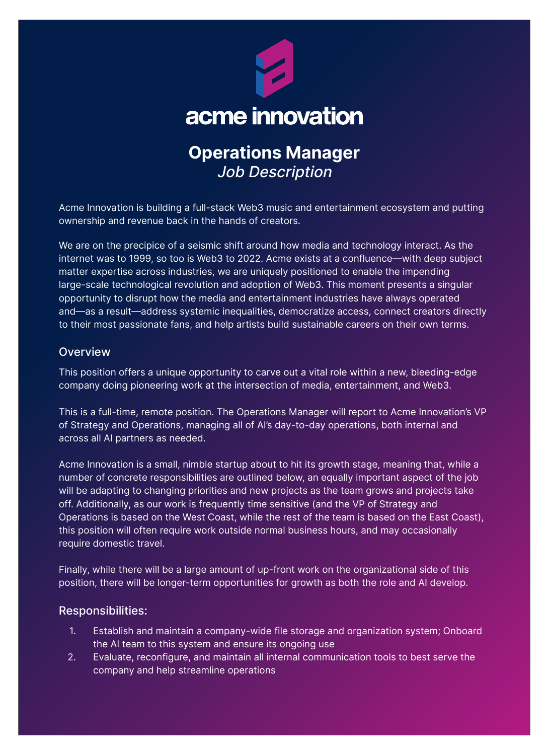

# **Operations Manager**  Job Description

Acme Innovation is building a full-stack Web3 music and entertainment ecosystem and putting ownership and revenue back in the hands of creators.

We are on the precipice of a seismic shift around how media and technology interact. As the internet was to 1999, so too is Web3 to 2022. Acme exists at a confluence—with deep subject matter expertise across industries, we are uniquely positioned to enable the impending large-scale technological revolution and adoption of Web3. This moment presents a singular opportunity to disrupt how the media and entertainment industries have always operated and—as a result—address systemic inequalities, democratize access, connect creators directly to their most passionate fans, and help artists build sustainable careers on their own terms.

### **Overview**

This position offers a unique opportunity to carve out a vital role within a new, bleeding-edge company doing pioneering work at the intersection of media, entertainment, and Web3.

This is a full-time, remote position. The Operations Manager will report to Acme Innovation's VP of Strategy and Operations, managing all of AI's day-to-day operations, both internal and across all AI partners as needed.

Acme Innovation is a small, nimble startup about to hit its growth stage, meaning that, while a number of concrete responsibilities are outlined below, an equally important aspect of the job will be adapting to changing priorities and new projects as the team grows and projects take off. Additionally, as our work is frequently time sensitive (and the VP of Strategy and Operations is based on the West Coast, while the rest of the team is based on the East Coast), this position will often require work outside normal business hours, and may occasionally require domestic travel.

Finally, while there will be a large amount of up-front work on the organizational side of this position, there will be longer-term opportunities for growth as both the role and AI develop.

#### Responsibilities:

- 1. Establish and maintain a company-wide file storage and organization system; Onboard the AI team to this system and ensure its ongoing use
- 2. Evaluate, reconfigure, and maintain all internal communication tools to best serve the company and help streamline operations